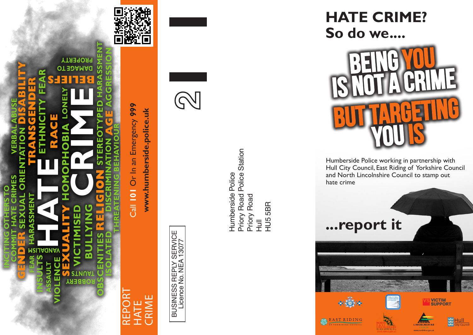

RIME HATE  $\overline{\widetilde{\phantom{m}}}\,$ 

Or In an Emergency 999 Call **101** Or In an Emergency **999** www.humberside.police.uk **www.humberside.police.uk Call 101** 

> **BUSINESS REPLY SERVICE**<br>Licence No. NEA 13077 BUSINESS REPLY SERVICE Licence No. NEA 13077



Priory Road Police Station<br>Priory Road Priory Road Police Station Humberside Police Humberside Police Priory Road **HU55BR** HU5 5BR  $\bar{\vec{H}}$ 

**HATE CRIME? So do we....**



Humberside Police working in partnership with Hull City Council, East Riding of Yorkshire Council and North Lincolnshire Council to stamp out hate crime